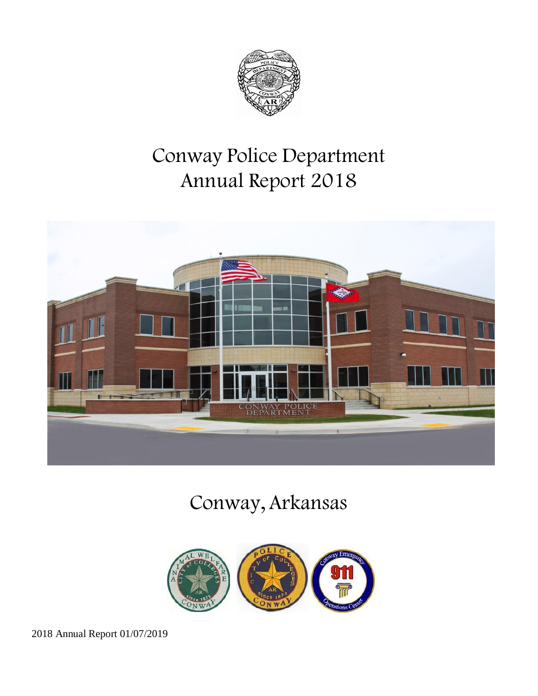

# Conway Police Department Annual Report 2018



# Conway, Arkansas

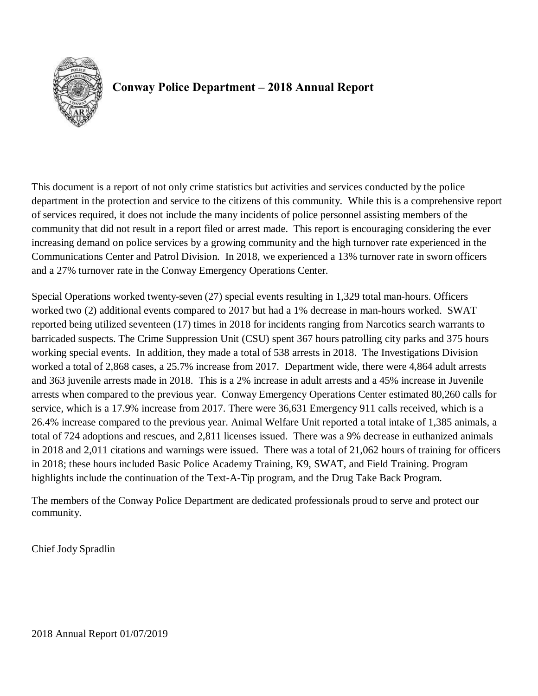

## **Conway Police Department – 2018 Annual Report**

This document is a report of not only crime statistics but activities and services conducted by the police department in the protection and service to the citizens of this community. While this is a comprehensive report of services required, it does not include the many incidents of police personnel assisting members of the community that did not result in a report filed or arrest made. This report is encouraging considering the ever increasing demand on police services by a growing community and the high turnover rate experienced in the Communications Center and Patrol Division. In 2018, we experienced a 13% turnover rate in sworn officers and a 27% turnover rate in the Conway Emergency Operations Center.

Special Operations worked twenty-seven (27) special events resulting in 1,329 total man-hours. Officers worked two (2) additional events compared to 2017 but had a 1% decrease in man-hours worked. SWAT reported being utilized seventeen (17) times in 2018 for incidents ranging from Narcotics search warrants to barricaded suspects. The Crime Suppression Unit (CSU) spent 367 hours patrolling city parks and 375 hours working special events. In addition, they made a total of 538 arrests in 2018. The Investigations Division worked a total of 2,868 cases, a 25.7% increase from 2017. Department wide, there were 4,864 adult arrests and 363 juvenile arrests made in 2018. This is a 2% increase in adult arrests and a 45% increase in Juvenile arrests when compared to the previous year. Conway Emergency Operations Center estimated 80,260 calls for service, which is a 17.9% increase from 2017. There were 36,631 Emergency 911 calls received, which is a 26.4% increase compared to the previous year. Animal Welfare Unit reported a total intake of 1,385 animals, a total of 724 adoptions and rescues, and 2,811 licenses issued. There was a 9% decrease in euthanized animals in 2018 and 2,011 citations and warnings were issued. There was a total of 21,062 hours of training for officers in 2018; these hours included Basic Police Academy Training, K9, SWAT, and Field Training. Program highlights include the continuation of the Text-A-Tip program, and the Drug Take Back Program.

The members of the Conway Police Department are dedicated professionals proud to serve and protect our community.

Chief Jody Spradlin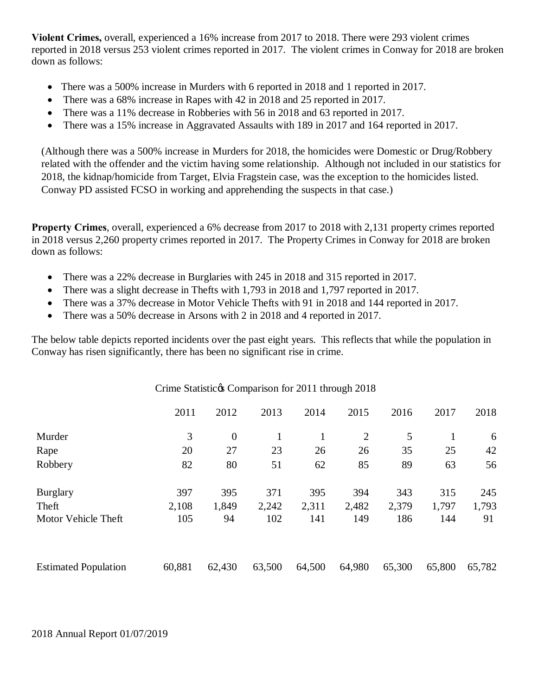**Violent Crimes,** overall, experienced a 16% increase from 2017 to 2018. There were 293 violent crimes reported in 2018 versus 253 violent crimes reported in 2017. The violent crimes in Conway for 2018 are broken down as follows:

- There was a 500% increase in Murders with 6 reported in 2018 and 1 reported in 2017.
- There was a 68% increase in Rapes with 42 in 2018 and 25 reported in 2017.
- There was a 11% decrease in Robberies with 56 in 2018 and 63 reported in 2017.
- · There was a 15% increase in Aggravated Assaults with 189 in 2017 and 164 reported in 2017.

(Although there was a 500% increase in Murders for 2018, the homicides were Domestic or Drug/Robbery related with the offender and the victim having some relationship. Although not included in our statistics for 2018, the kidnap/homicide from Target, Elvia Fragstein case, was the exception to the homicides listed. Conway PD assisted FCSO in working and apprehending the suspects in that case.)

**Property Crimes**, overall, experienced a 6% decrease from 2017 to 2018 with 2,131 property crimes reported in 2018 versus 2,260 property crimes reported in 2017. The Property Crimes in Conway for 2018 are broken down as follows:

- There was a 22% decrease in Burglaries with 245 in 2018 and 315 reported in 2017.
- There was a slight decrease in Thefts with 1,793 in 2018 and 1,797 reported in 2017.
- There was a 37% decrease in Motor Vehicle Thefts with 91 in 2018 and 144 reported in 2017.
- There was a 50% decrease in Arsons with 2 in 2018 and 4 reported in 2017.

The below table depicts reported incidents over the past eight years. This reflects that while the population in Conway has risen significantly, there has been no significant rise in crime.

|                             | Crime Statistic & Comparison for 2011 through 2018 |                |        |        |                |        |        |        |
|-----------------------------|----------------------------------------------------|----------------|--------|--------|----------------|--------|--------|--------|
|                             | 2011                                               | 2012           | 2013   | 2014   | 2015           | 2016   | 2017   | 2018   |
| Murder                      | 3                                                  | $\overline{0}$ | 1      | 1      | $\overline{2}$ | 5      |        | 6      |
| Rape                        | 20                                                 | 27             | 23     | 26     | 26             | 35     | 25     | 42     |
| Robbery                     | 82                                                 | 80             | 51     | 62     | 85             | 89     | 63     | 56     |
| <b>Burglary</b>             | 397                                                | 395            | 371    | 395    | 394            | 343    | 315    | 245    |
| Theft                       | 2,108                                              | 1,849          | 2,242  | 2,311  | 2,482          | 2,379  | 1,797  | 1,793  |
| Motor Vehicle Theft         | 105                                                | 94             | 102    | 141    | 149            | 186    | 144    | 91     |
| <b>Estimated Population</b> | 60,881                                             | 62,430         | 63,500 | 64,500 | 64,980         | 65,300 | 65,800 | 65,782 |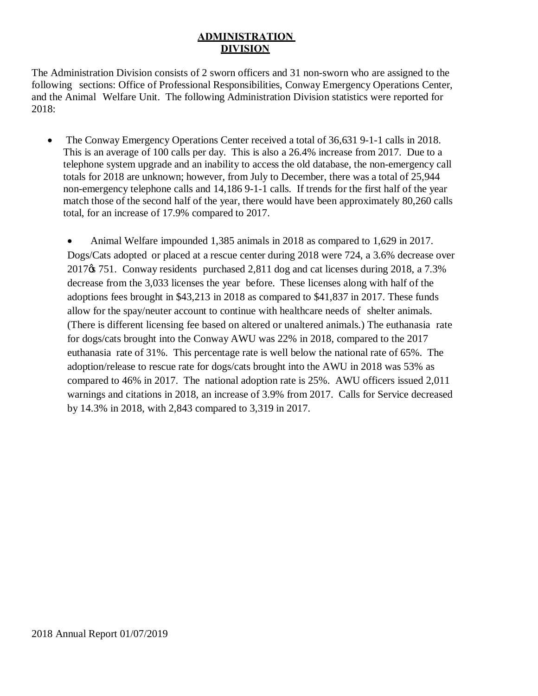#### **ADMINISTRATION DIVISION**

The Administration Division consists of 2 sworn officers and 31 non-sworn who are assigned to the following sections: Office of Professional Responsibilities, Conway Emergency Operations Center, and the Animal Welfare Unit. The following Administration Division statistics were reported for 2018:

The Conway Emergency Operations Center received a total of 36,631 9-1-1 calls in 2018. This is an average of 100 calls per day. This is also a 26.4% increase from 2017. Due to a telephone system upgrade and an inability to access the old database, the non-emergency call totals for 2018 are unknown; however, from July to December, there was a total of 25,944 non-emergency telephone calls and 14,186 9-1-1 calls. If trends for the first half of the year match those of the second half of the year, there would have been approximately 80,260 calls total, for an increase of 17.9% compared to 2017.

Animal Welfare impounded 1,385 animals in 2018 as compared to 1,629 in 2017. Dogs/Cats adopted or placed at a rescue center during 2018 were 724, a 3.6% decrease over  $2017\%$  751. Conway residents purchased 2,811 dog and cat licenses during 2018, a 7.3% decrease from the 3,033 licenses the year before. These licenses along with half of the adoptions fees brought in \$43,213 in 2018 as compared to \$41,837 in 2017. These funds allow for the spay/neuter account to continue with healthcare needs of shelter animals. (There is different licensing fee based on altered or unaltered animals.) The euthanasia rate for dogs/cats brought into the Conway AWU was 22% in 2018, compared to the 2017 euthanasia rate of 31%. This percentage rate is well below the national rate of 65%. The adoption/release to rescue rate for dogs/cats brought into the AWU in 2018 was 53% as compared to 46% in 2017. The national adoption rate is 25%. AWU officers issued 2,011 warnings and citations in 2018, an increase of 3.9% from 2017. Calls for Service decreased by 14.3% in 2018, with 2,843 compared to 3,319 in 2017.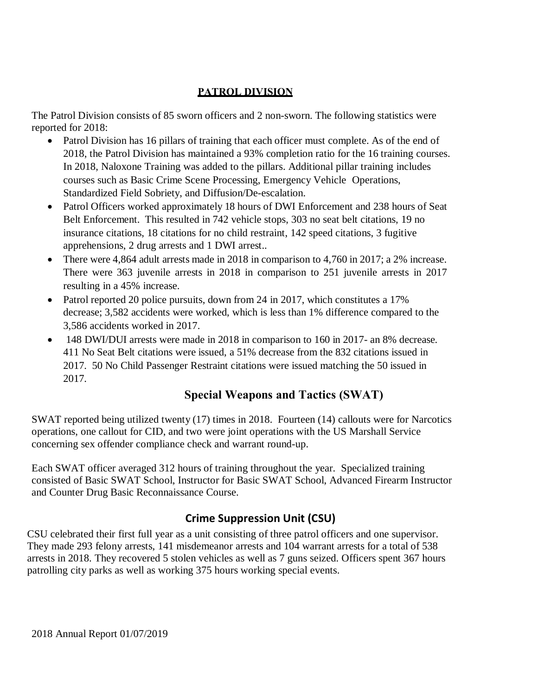### **PATROL DIVISION**

The Patrol Division consists of 85 sworn officers and 2 non-sworn. The following statistics were reported for 2018:

- Patrol Division has 16 pillars of training that each officer must complete. As of the end of 2018, the Patrol Division has maintained a 93% completion ratio for the 16 training courses. In 2018, Naloxone Training was added to the pillars. Additional pillar training includes courses such as Basic Crime Scene Processing, Emergency Vehicle Operations, Standardized Field Sobriety, and Diffusion/De-escalation.
- Patrol Officers worked approximately 18 hours of DWI Enforcement and 238 hours of Seat Belt Enforcement. This resulted in 742 vehicle stops, 303 no seat belt citations, 19 no insurance citations, 18 citations for no child restraint, 142 speed citations, 3 fugitive apprehensions, 2 drug arrests and 1 DWI arrest..
- There were 4,864 adult arrests made in 2018 in comparison to 4,760 in 2017; a 2% increase. There were 363 juvenile arrests in 2018 in comparison to 251 juvenile arrests in 2017 resulting in a 45% increase.
- Patrol reported 20 police pursuits, down from 24 in 2017, which constitutes a 17% decrease; 3,582 accidents were worked, which is less than 1% difference compared to the 3,586 accidents worked in 2017.
- · 148 DWI/DUI arrests were made in 2018 in comparison to 160 in 2017- an 8% decrease. 411 No Seat Belt citations were issued, a 51% decrease from the 832 citations issued in 2017. 50 No Child Passenger Restraint citations were issued matching the 50 issued in 2017.

# **Special Weapons and Tactics (SWAT)**

SWAT reported being utilized twenty (17) times in 2018. Fourteen (14) callouts were for Narcotics operations, one callout for CID, and two were joint operations with the US Marshall Service concerning sex offender compliance check and warrant round-up.

Each SWAT officer averaged 312 hours of training throughout the year. Specialized training consisted of Basic SWAT School, Instructor for Basic SWAT School, Advanced Firearm Instructor and Counter Drug Basic Reconnaissance Course.

## **Crime Suppression Unit (CSU)**

CSU celebrated their first full year as a unit consisting of three patrol officers and one supervisor. They made 293 felony arrests, 141 misdemeanor arrests and 104 warrant arrests for a total of 538 arrests in 2018. They recovered 5 stolen vehicles as well as 7 guns seized. Officers spent 367 hours patrolling city parks as well as working 375 hours working special events.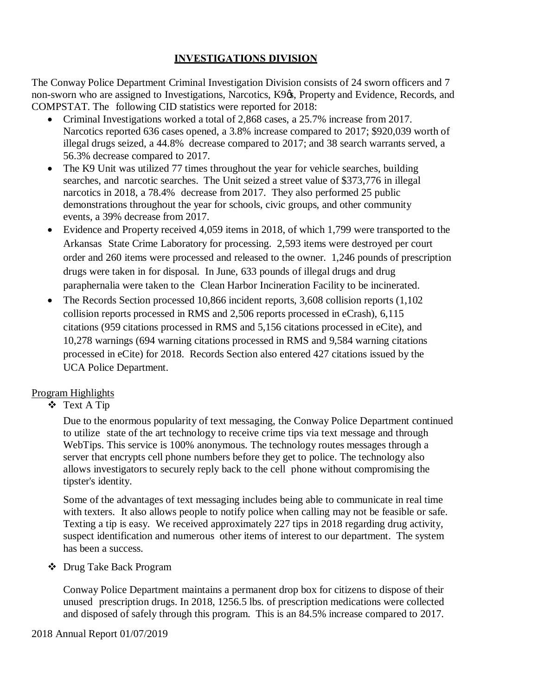## **INVESTIGATIONS DIVISION**

The Conway Police Department Criminal Investigation Division consists of 24 sworn officers and 7 non-sworn who are assigned to Investigations, Narcotics, K9 $\alpha$ , Property and Evidence, Records, and COMPSTAT. The following CID statistics were reported for 2018:

- · Criminal Investigations worked a total of 2,868 cases, a 25.7% increase from 2017. Narcotics reported 636 cases opened, a 3.8% increase compared to 2017; \$920,039 worth of illegal drugs seized, a 44.8% decrease compared to 2017; and 38 search warrants served, a 56.3% decrease compared to 2017.
- The K9 Unit was utilized 77 times throughout the year for vehicle searches, building searches, and narcotic searches. The Unit seized a street value of \$373,776 in illegal narcotics in 2018, a 78.4% decrease from 2017. They also performed 25 public demonstrations throughout the year for schools, civic groups, and other community events, a 39% decrease from 2017.
- Evidence and Property received 4,059 items in 2018, of which 1,799 were transported to the Arkansas State Crime Laboratory for processing. 2,593 items were destroyed per court order and 260 items were processed and released to the owner. 1,246 pounds of prescription drugs were taken in for disposal. In June, 633 pounds of illegal drugs and drug paraphernalia were taken to the Clean Harbor Incineration Facility to be incinerated.
- The Records Section processed 10,866 incident reports, 3,608 collision reports (1,102) collision reports processed in RMS and 2,506 reports processed in eCrash), 6,115 citations (959 citations processed in RMS and 5,156 citations processed in eCite), and 10,278 warnings (694 warning citations processed in RMS and 9,584 warning citations processed in eCite) for 2018. Records Section also entered 427 citations issued by the UCA Police Department.

### Program Highlights

v Text A Tip

Due to the enormous popularity of text messaging, the Conway Police Department continued to utilize state of the art technology to receive crime tips via text message and through WebTips. This service is 100% anonymous. The technology routes messages through a server that encrypts cell phone numbers before they get to police. The technology also allows investigators to securely reply back to the cell phone without compromising the tipster's identity.

Some of the advantages of text messaging includes being able to communicate in real time with texters. It also allows people to notify police when calling may not be feasible or safe. Texting a tip is easy. We received approximately 227 tips in 2018 regarding drug activity, suspect identification and numerous other items of interest to our department. The system has been a success.

v Drug Take Back Program

Conway Police Department maintains a permanent drop box for citizens to dispose of their unused prescription drugs. In 2018, 1256.5 lbs. of prescription medications were collected and disposed of safely through this program. This is an 84.5% increase compared to 2017.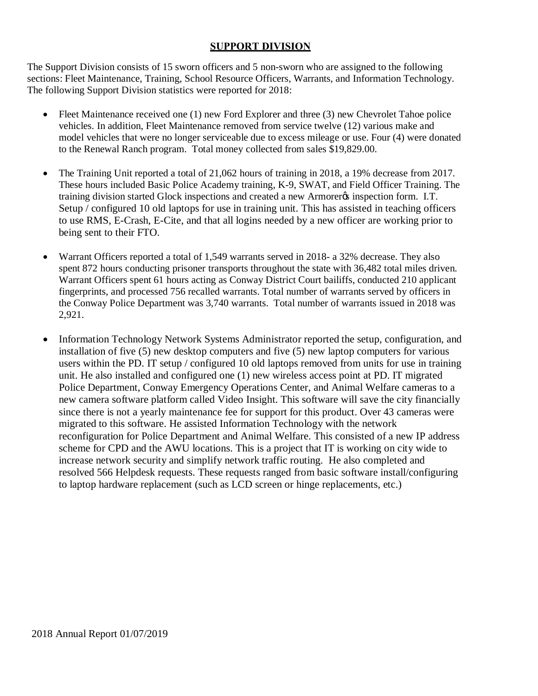#### **SUPPORT DIVISION**

The Support Division consists of 15 sworn officers and 5 non-sworn who are assigned to the following sections: Fleet Maintenance, Training, School Resource Officers, Warrants, and Information Technology. The following Support Division statistics were reported for 2018:

- Fleet Maintenance received one (1) new Ford Explorer and three (3) new Chevrolet Tahoe police vehicles. In addition, Fleet Maintenance removed from service twelve (12) various make and model vehicles that were no longer serviceable due to excess mileage or use. Four (4) were donated to the Renewal Ranch program. Total money collected from sales \$19,829.00.
- The Training Unit reported a total of 21,062 hours of training in 2018, a 19% decrease from 2017. These hours included Basic Police Academy training, K-9, SWAT, and Field Officer Training. The training division started Glock inspections and created a new Armorer & inspection form. I.T. Setup / configured 10 old laptops for use in training unit. This has assisted in teaching officers to use RMS, E-Crash, E-Cite, and that all logins needed by a new officer are working prior to being sent to their FTO.
- · Warrant Officers reported a total of 1,549 warrants served in 2018- a 32% decrease. They also spent 872 hours conducting prisoner transports throughout the state with 36,482 total miles driven. Warrant Officers spent 61 hours acting as Conway District Court bailiffs, conducted 210 applicant fingerprints, and processed 756 recalled warrants. Total number of warrants served by officers in the Conway Police Department was 3,740 warrants. Total number of warrants issued in 2018 was 2,921.
- Information Technology Network Systems Administrator reported the setup, configuration, and installation of five (5) new desktop computers and five (5) new laptop computers for various users within the PD. IT setup / configured 10 old laptops removed from units for use in training unit. He also installed and configured one (1) new wireless access point at PD. IT migrated Police Department, Conway Emergency Operations Center, and Animal Welfare cameras to a new camera software platform called Video Insight. This software will save the city financially since there is not a yearly maintenance fee for support for this product. Over 43 cameras were migrated to this software. He assisted Information Technology with the network reconfiguration for Police Department and Animal Welfare. This consisted of a new IP address scheme for CPD and the AWU locations. This is a project that IT is working on city wide to increase network security and simplify network traffic routing. He also completed and resolved 566 Helpdesk requests. These requests ranged from basic software install/configuring to laptop hardware replacement (such as LCD screen or hinge replacements, etc.)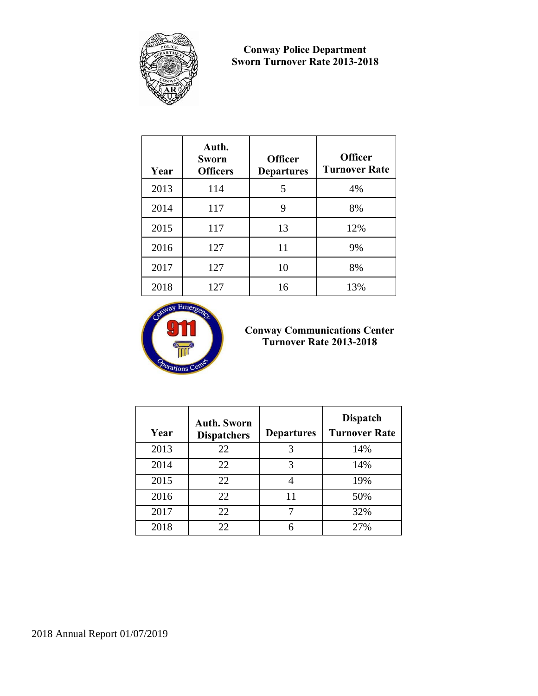

#### **Conway Police Department Sworn Turnover Rate 2013-2018**

| Year | Auth.<br><b>Sworn</b><br><b>Officers</b> | <b>Officer</b><br><b>Departures</b> | <b>Officer</b><br><b>Turnover Rate</b> |
|------|------------------------------------------|-------------------------------------|----------------------------------------|
| 2013 | 114                                      | 5                                   | 4%                                     |
| 2014 | 117                                      | 9                                   | 8%                                     |
| 2015 | 117                                      | 13                                  | 12%                                    |
| 2016 | 127                                      | 11                                  | 9%                                     |
| 2017 | 127                                      | 10                                  | 8%                                     |
| 2018 | 127                                      | 16                                  | 13%                                    |



#### **Conway Communications Center Turnover Rate 2013-2018**

| Year | <b>Auth. Sworn</b><br><b>Dispatchers</b> | <b>Departures</b> | <b>Dispatch</b><br><b>Turnover Rate</b> |
|------|------------------------------------------|-------------------|-----------------------------------------|
| 2013 | 22                                       | 3                 | 14%                                     |
| 2014 | 22                                       | 3                 | 14%                                     |
| 2015 | 22                                       |                   | 19%                                     |
| 2016 | 22                                       | 11                | 50%                                     |
| 2017 | 22                                       |                   | 32%                                     |
| 2018 | 22                                       | 6                 | 27%                                     |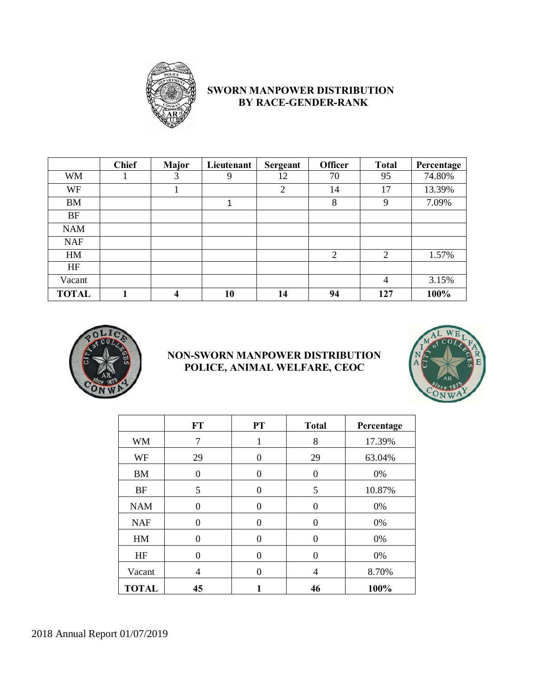

## **SWORN MANPOWER DISTRIBUTION BY RACE-GENDER-RANK**

|              | <b>Chief</b> | <b>Major</b> | Lieutenant | <b>Sergeant</b> | <b>Officer</b> | <b>Total</b>   | Percentage |
|--------------|--------------|--------------|------------|-----------------|----------------|----------------|------------|
| <b>WM</b>    |              | 3            | 9          | 12              | 70             | 95             | 74.80%     |
| WF           |              |              |            | 2               | 14             | 17             | 13.39%     |
| <b>BM</b>    |              |              | 1          |                 | 8              | 9              | 7.09%      |
| <b>BF</b>    |              |              |            |                 |                |                |            |
| <b>NAM</b>   |              |              |            |                 |                |                |            |
| <b>NAF</b>   |              |              |            |                 |                |                |            |
| HM           |              |              |            |                 | $\overline{2}$ | $\overline{2}$ | 1.57%      |
| HF           |              |              |            |                 |                |                |            |
| Vacant       |              |              |            |                 |                | 4              | 3.15%      |
| <b>TOTAL</b> |              | 4            | 10         | 14              | 94             | 127            | 100%       |



#### **NON-SWORN MANPOWER DISTRIBUTION POLICE, ANIMAL WELFARE, CEOC**



|              | <b>FT</b> | PT       | <b>Total</b> | Percentage |
|--------------|-----------|----------|--------------|------------|
| <b>WM</b>    | 7         |          | 8            | 17.39%     |
| WF           | 29        | 0        | 29           | 63.04%     |
| <b>BM</b>    | $\theta$  | 0        | $\theta$     | 0%         |
| <b>BF</b>    | 5         | 0        | 5            | 10.87%     |
| <b>NAM</b>   | 0         | $\theta$ | $\theta$     | 0%         |
| <b>NAF</b>   | 0         | $\Omega$ | $\Omega$     | 0%         |
| HM           | 0         | 0        | $\Omega$     | 0%         |
| HF           | 0         | $\Omega$ | $\Omega$     | 0%         |
| Vacant       | 4         | 0        | 4            | 8.70%      |
| <b>TOTAL</b> | 45        |          | 46           | 100%       |